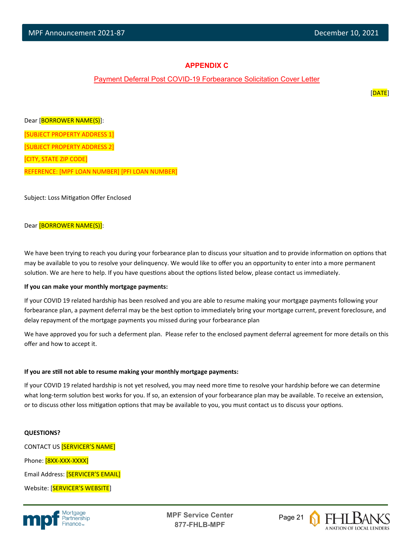$\overline{a}$ 

## **APPENDIX C**

## Payment Deferral Post COVID-19 Forbearance Solicitation Cover Letter

en de la provincia de la provincia de la provincia de la provincia de la provincia de la provincia de la provi

Dear [BORROWER NAME(S)]: [SUBJECT PROPERTY ADDRESS 1] [SUBJECT PROPERTY ADDRESS 2] [CITY, STATE ZIP CODE] REFERENCE: [MPF LOAN NUMBER] [PFI LOAN NUMBER]

Subject: Loss Mitigation Offer Enclosed

### Dear [BORROWER NAME(S)]:

We have been trying to reach you during your forbearance plan to discuss your situation and to provide information on options that may be available to you to resolve your delinquency. We would like to offer you an opportunity to enter into a more permanent solution. We are here to help. If you have questions about the options listed below, please contact us immediately.

#### **If you can make your monthly mortgage payments:**

If your COVID 19 related hardship has been resolved and you are able to resume making your mortgage payments following your forbearance plan, a payment deferral may be the best option to immediately bring your mortgage current, prevent foreclosure, and delay repayment of the mortgage payments you missed during your forbearance plan

We have approved you for such a deferment plan. Please refer to the enclosed payment deferral agreement for more details on this offer and how to accept it.

#### **If you are sƟll not able to resume making your monthly mortgage payments:**

If your COVID 19 related hardship is not yet resolved, you may need more time to resolve your hardship before we can determine what long-term solution best works for you. If so, an extension of your forbearance plan may be available. To receive an extension, or to discuss other loss mitigation options that may be available to you, you must contact us to discuss your options.

#### **QUESTIONS?**

CONTACT US [SERVICER'S NAME] Phone: [8XX-XXX-XXXX] Email Address: [SERVICER'S EMAIL] Website: [SERVICER'S WEBSITE]



**MPF Service Center** Page 21 **877-FHLB-MPF**